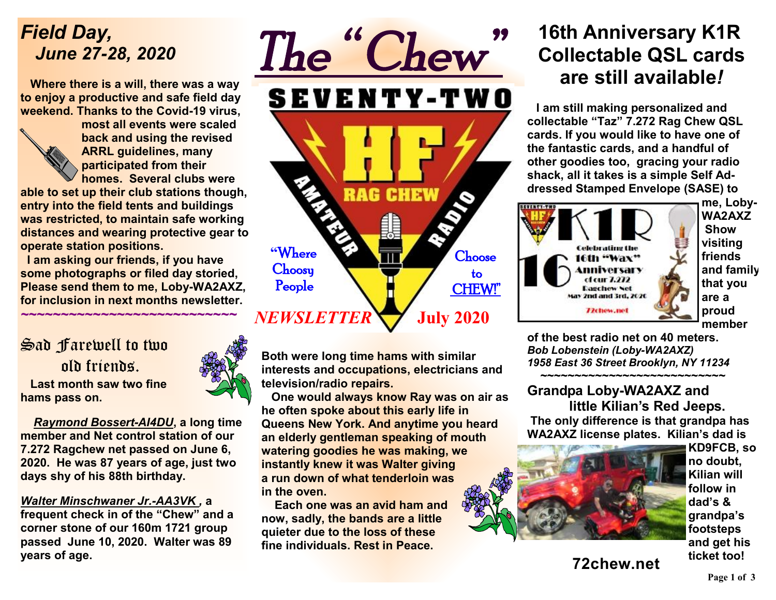## *Field Day, June 27-28, 2020*

 **Where there is a will, there was a way to enjoy a productive and safe field day weekend. Thanks to the Covid-19 virus,** 



**most all events were scaled back and using the revised ARRL guidelines, many participated from their homes. Several clubs were** 

**able to set up their club stations though, entry into the field tents and buildings was restricted, to maintain safe working distances and wearing protective gear to operate station positions.** 

 **I am asking our friends, if you have some photographs or filed day storied, Please send them to me, Loby-WA2AXZ, for inclusion in next months newsletter.** 

*~~~~~~~~~~~~~~~~~~~~~~~~~~~* 

### Sad Farewell to two old friends.  **Last month saw two fine hams pass on.**

*Raymond Bossert-AI4DU***, a long time member and Net control station of our 7.272 Ragchew net passed on June 6, 2020. He was 87 years of age, just two days shy of his 88th birthday.** 

### *Walter Minschwaner Jr.-AA3VK ,* **a**

**frequent check in of the "Chew" and a corner stone of our 160m 1721 group passed June 10, 2020. Walter was 89 years of age.** 





**Both were long time hams with similar interests and occupations, electricians and television/radio repairs.** 

 **One would always know Ray was on air as he often spoke about this early life in Queens New York. And anytime you heard an elderly gentleman speaking of mouth watering goodies he was making, we instantly knew it was Walter giving a run down of what tenderloin was in the oven.** 

 **Each one was an avid ham and now, sadly, the bands are a little quieter due to the loss of these fine individuals. Rest in Peace.** 

## **16th Anniversary K1R Collectable QSL cards are still available***!*

 **I am still making personalized and collectable "Taz" 7.272 Rag Chew QSL cards. If you would like to have one of the fantastic cards, and a handful of other goodies too, gracing your radio shack, all it takes is a simple Self Addressed Stamped Envelope (SASE) to** 



**me, Loby-WA2AXZ Show visiting friends and family that you are a proud member** 

**of the best radio net on 40 meters.**  *Bob Lobenstein (Loby-WA2AXZ) 1958 East 36 Street Brooklyn, NY 11234* 

 **~~~~~~~~~~~~~~~~~~~~~~~~~~~ Grandpa Loby-WA2AXZ and little Kilian's Red Jeeps. The only difference is that grandpa has** 

**WA2AXZ license plates. Kilian's dad is** 



**KD9FCB, so no doubt, Kilian will follow in dad's & grandpa's footsteps and get his ticket too!** 

**72chew.net**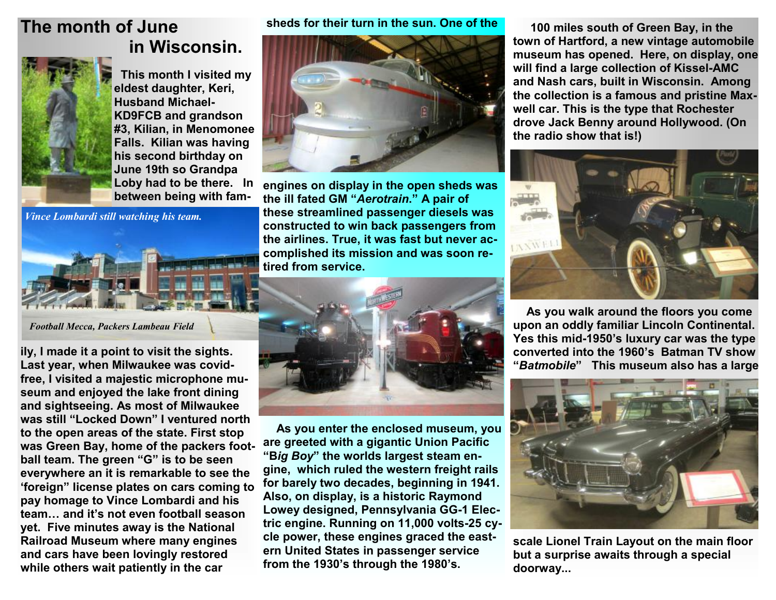## **The month of June in Wisconsin.**



 **This month I visited my eldest daughter, Keri, Husband Michael-KD9FCB and grandson #3, Kilian, in Menomonee Falls. Kilian was having his second birthday on June 19th so Grandpa Loby had to be there. In between being with fam-**

*Vince Lombardi still watching his team.* 



*Football Mecca, Packers Lambeau Field* 

**ily, I made it a point to visit the sights. Last year, when Milwaukee was covidfree, I visited a majestic microphone museum and enjoyed the lake front dining and sightseeing. As most of Milwaukee was still "Locked Down" I ventured north to the open areas of the state. First stop was Green Bay, home of the packers football team. The green "G" is to be seen everywhere an it is remarkable to see the 'foreign" license plates on cars coming to pay homage to Vince Lombardi and his team… and it's not even football season yet. Five minutes away is the National Railroad Museum where many engines and cars have been lovingly restored while others wait patiently in the car** 

**sheds for their turn in the sun. One of the** 



**engines on display in the open sheds was the ill fated GM "***Aerotrain***." A pair of these streamlined passenger diesels was constructed to win back passengers from the airlines. True, it was fast but never accomplished its mission and was soon retired from service.** 



 **As you enter the enclosed museum, you are greeted with a gigantic Union Pacific "B***ig Boy***" the worlds largest steam engine, which ruled the western freight rails for barely two decades, beginning in 1941. Also, on display, is a historic Raymond Lowey designed, Pennsylvania GG-1 Electric engine. Running on 11,000 volts-25 cycle power, these engines graced the eastern United States in passenger service from the 1930's through the 1980's.** 

 **100 miles south of Green Bay, in the town of Hartford, a new vintage automobile museum has opened. Here, on display, one will find a large collection of Kissel-AMC and Nash cars, built in Wisconsin. Among the collection is a famous and pristine Maxwell car. This is the type that Rochester drove Jack Benny around Hollywood. (On the radio show that is!)** 



 **As you walk around the floors you come upon an oddly familiar Lincoln Continental. Yes this mid-1950's luxury car was the type converted into the 1960's Batman TV show "***Batmobile***" This museum also has a large** 



**scale Lionel Train Layout on the main floor but a surprise awaits through a special doorway...**